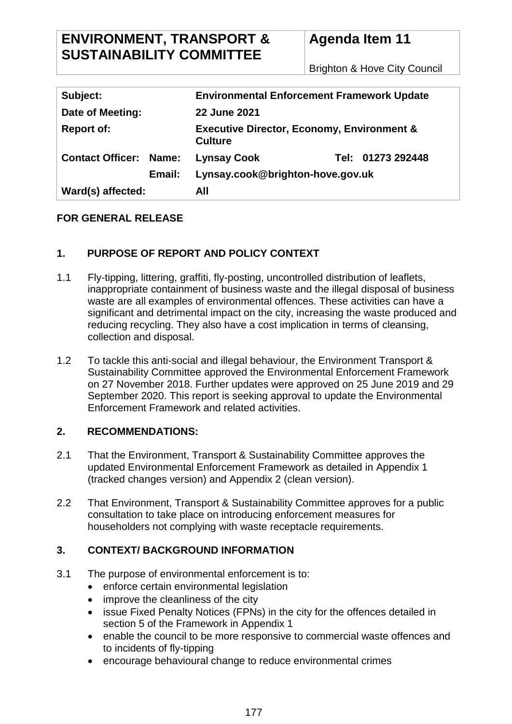# **ENVIRONMENT, TRANSPORT & SUSTAINABILITY COMMITTEE**

# **Agenda Item 11**

Brighton & Hove City Council

| Subject:                      | <b>Environmental Enforcement Framework Update</b>                       |                   |
|-------------------------------|-------------------------------------------------------------------------|-------------------|
| Date of Meeting:              | <b>22 June 2021</b>                                                     |                   |
| <b>Report of:</b>             | <b>Executive Director, Economy, Environment &amp;</b><br><b>Culture</b> |                   |
| <b>Contact Officer: Name:</b> | <b>Lynsay Cook</b>                                                      | Tel: 01273 292448 |
| Email:                        | Lynsay.cook@brighton-hove.gov.uk                                        |                   |
| Ward(s) affected:             | All                                                                     |                   |

# **FOR GENERAL RELEASE**

# **1. PURPOSE OF REPORT AND POLICY CONTEXT**

- 1.1 Fly-tipping, littering, graffiti, fly-posting, uncontrolled distribution of leaflets, inappropriate containment of business waste and the illegal disposal of business waste are all examples of environmental offences. These activities can have a significant and detrimental impact on the city, increasing the waste produced and reducing recycling. They also have a cost implication in terms of cleansing, collection and disposal.
- 1.2 To tackle this anti-social and illegal behaviour, the Environment Transport & Sustainability Committee approved the Environmental Enforcement Framework on 27 November 2018. Further updates were approved on 25 June 2019 and 29 September 2020. This report is seeking approval to update the Environmental Enforcement Framework and related activities.

# **2. RECOMMENDATIONS:**

- 2.1 That the Environment, Transport & Sustainability Committee approves the updated Environmental Enforcement Framework as detailed in Appendix 1 (tracked changes version) and Appendix 2 (clean version).
- 2.2 That Environment, Transport & Sustainability Committee approves for a public consultation to take place on introducing enforcement measures for householders not complying with waste receptacle requirements.

# **3. CONTEXT/ BACKGROUND INFORMATION**

- 3.1 The purpose of environmental enforcement is to:
	- enforce certain environmental legislation
	- improve the cleanliness of the city
	- issue Fixed Penalty Notices (FPNs) in the city for the offences detailed in section 5 of the Framework in Appendix 1
	- enable the council to be more responsive to commercial waste offences and to incidents of fly-tipping
	- encourage behavioural change to reduce environmental crimes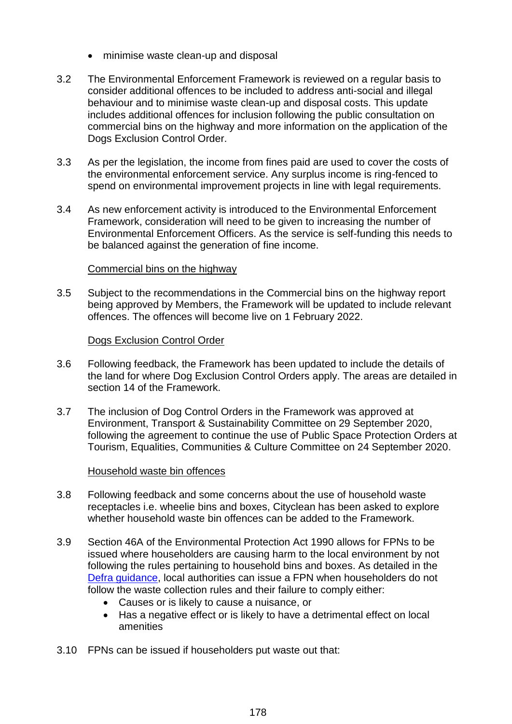- minimise waste clean-up and disposal
- 3.2 The Environmental Enforcement Framework is reviewed on a regular basis to consider additional offences to be included to address anti-social and illegal behaviour and to minimise waste clean-up and disposal costs. This update includes additional offences for inclusion following the public consultation on commercial bins on the highway and more information on the application of the Dogs Exclusion Control Order.
- 3.3 As per the legislation, the income from fines paid are used to cover the costs of the environmental enforcement service. Any surplus income is ring-fenced to spend on environmental improvement projects in line with legal requirements.
- 3.4 As new enforcement activity is introduced to the Environmental Enforcement Framework, consideration will need to be given to increasing the number of Environmental Enforcement Officers. As the service is self-funding this needs to be balanced against the generation of fine income.

## Commercial bins on the highway

3.5 Subject to the recommendations in the Commercial bins on the highway report being approved by Members, the Framework will be updated to include relevant offences. The offences will become live on 1 February 2022.

#### Dogs Exclusion Control Order

- 3.6 Following feedback, the Framework has been updated to include the details of the land for where Dog Exclusion Control Orders apply. The areas are detailed in section 14 of the Framework.
- 3.7 The inclusion of Dog Control Orders in the Framework was approved at Environment, Transport & Sustainability Committee on 29 September 2020, following the agreement to continue the use of Public Space Protection Orders at Tourism, Equalities, Communities & Culture Committee on 24 September 2020.

#### Household waste bin offences

- 3.8 Following feedback and some concerns about the use of household waste receptacles i.e. wheelie bins and boxes, Cityclean has been asked to explore whether household waste bin offences can be added to the Framework.
- 3.9 Section 46A of the Environmental Protection Act 1990 allows for FPNs to be issued where householders are causing harm to the local environment by not following the rules pertaining to household bins and boxes. As detailed in the [Defra guidance,](https://www.gov.uk/guidance/household-waste-bins-when-and-how-councils-may-issue-fixed-penalties) local authorities can issue a FPN when householders do not follow the waste collection rules and their failure to comply either:
	- Causes or is likely to cause a nuisance, or
	- Has a negative effect or is likely to have a detrimental effect on local amenities
- 3.10 FPNs can be issued if householders put waste out that: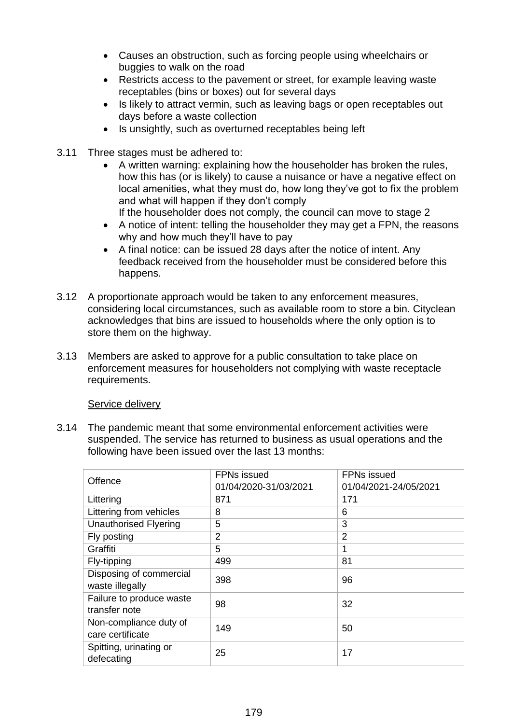- Causes an obstruction, such as forcing people using wheelchairs or buggies to walk on the road
- Restricts access to the pavement or street, for example leaving waste receptables (bins or boxes) out for several days
- Is likely to attract vermin, such as leaving bags or open receptables out days before a waste collection
- Is unsightly, such as overturned receptables being left
- 3.11 Three stages must be adhered to:
	- A written warning: explaining how the householder has broken the rules, how this has (or is likely) to cause a nuisance or have a negative effect on local amenities, what they must do, how long they've got to fix the problem and what will happen if they don't comply If the householder does not comply, the council can move to stage 2
		-
	- A notice of intent: telling the householder they may get a FPN, the reasons why and how much they'll have to pay
	- A final notice: can be issued 28 days after the notice of intent. Any feedback received from the householder must be considered before this happens.
- 3.12 A proportionate approach would be taken to any enforcement measures, considering local circumstances, such as available room to store a bin. Cityclean acknowledges that bins are issued to households where the only option is to store them on the highway.
- 3.13 Members are asked to approve for a public consultation to take place on enforcement measures for householders not complying with waste receptacle requirements.

## Service delivery

3.14 The pandemic meant that some environmental enforcement activities were suspended. The service has returned to business as usual operations and the following have been issued over the last 13 months:

| Offence                                    | <b>FPNs issued</b><br>01/04/2020-31/03/2021 | <b>FPNs</b> issued<br>01/04/2021-24/05/2021 |
|--------------------------------------------|---------------------------------------------|---------------------------------------------|
| Littering                                  | 871                                         | 171                                         |
| Littering from vehicles                    | 8                                           | 6                                           |
| <b>Unauthorised Flyering</b>               | 5                                           | 3                                           |
| Fly posting                                | 2                                           | 2                                           |
| Graffiti                                   | 5                                           | 1                                           |
| Fly-tipping                                | 499                                         | 81                                          |
| Disposing of commercial<br>waste illegally | 398                                         | 96                                          |
| Failure to produce waste<br>transfer note  | 98                                          | 32                                          |
| Non-compliance duty of<br>care certificate | 149                                         | 50                                          |
| Spitting, urinating or<br>defecating       | 25                                          | 17                                          |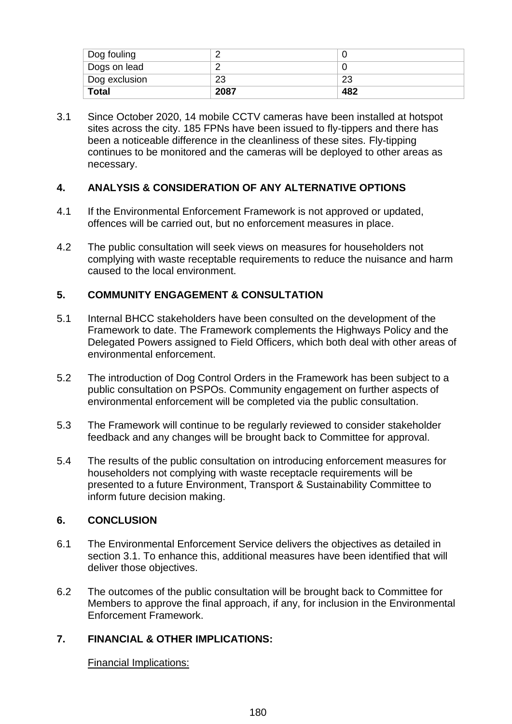| Dog fouling                |      |     |
|----------------------------|------|-----|
| Dogs on lead               |      |     |
| <sup>t</sup> Dog exclusion | 23   | 23  |
| <b>Total</b>               | 2087 | 482 |

3.1 Since October 2020, 14 mobile CCTV cameras have been installed at hotspot sites across the city. 185 FPNs have been issued to fly-tippers and there has been a noticeable difference in the cleanliness of these sites. Fly-tipping continues to be monitored and the cameras will be deployed to other areas as necessary.

# **4. ANALYSIS & CONSIDERATION OF ANY ALTERNATIVE OPTIONS**

- 4.1 If the Environmental Enforcement Framework is not approved or updated, offences will be carried out, but no enforcement measures in place.
- 4.2 The public consultation will seek views on measures for householders not complying with waste receptable requirements to reduce the nuisance and harm caused to the local environment.

# **5. COMMUNITY ENGAGEMENT & CONSULTATION**

- 5.1 Internal BHCC stakeholders have been consulted on the development of the Framework to date. The Framework complements the Highways Policy and the Delegated Powers assigned to Field Officers, which both deal with other areas of environmental enforcement.
- 5.2 The introduction of Dog Control Orders in the Framework has been subject to a public consultation on PSPOs. Community engagement on further aspects of environmental enforcement will be completed via the public consultation.
- 5.3 The Framework will continue to be regularly reviewed to consider stakeholder feedback and any changes will be brought back to Committee for approval.
- 5.4 The results of the public consultation on introducing enforcement measures for householders not complying with waste receptacle requirements will be presented to a future Environment, Transport & Sustainability Committee to inform future decision making.

# **6. CONCLUSION**

- 6.1 The Environmental Enforcement Service delivers the objectives as detailed in section 3.1. To enhance this, additional measures have been identified that will deliver those objectives.
- 6.2 The outcomes of the public consultation will be brought back to Committee for Members to approve the final approach, if any, for inclusion in the Environmental Enforcement Framework.

# **7. FINANCIAL & OTHER IMPLICATIONS:**

Financial Implications: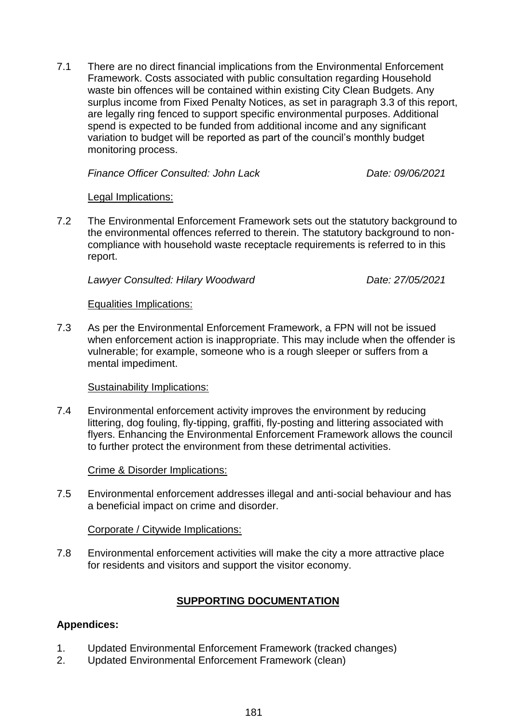7.1 There are no direct financial implications from the Environmental Enforcement Framework. Costs associated with public consultation regarding Household waste bin offences will be contained within existing City Clean Budgets. Any surplus income from Fixed Penalty Notices, as set in paragraph 3.3 of this report, are legally ring fenced to support specific environmental purposes. Additional spend is expected to be funded from additional income and any significant variation to budget will be reported as part of the council's monthly budget monitoring process.

*Finance Officer Consulted: John Lack Date: 09/06/2021*

## Legal Implications:

7.2 The Environmental Enforcement Framework sets out the statutory background to the environmental offences referred to therein. The statutory background to noncompliance with household waste receptacle requirements is referred to in this report.

*Lawyer Consulted: Hilary Woodward Date: 27/05/2021*

#### Equalities Implications:

7.3 As per the Environmental Enforcement Framework, a FPN will not be issued when enforcement action is inappropriate. This may include when the offender is vulnerable; for example, someone who is a rough sleeper or suffers from a mental impediment.

## Sustainability Implications:

7.4 Environmental enforcement activity improves the environment by reducing littering, dog fouling, fly-tipping, graffiti, fly-posting and littering associated with flyers. Enhancing the Environmental Enforcement Framework allows the council to further protect the environment from these detrimental activities.

## Crime & Disorder Implications:

7.5 Environmental enforcement addresses illegal and anti-social behaviour and has a beneficial impact on crime and disorder.

Corporate / Citywide Implications:

7.8 Environmental enforcement activities will make the city a more attractive place for residents and visitors and support the visitor economy.

# **SUPPORTING DOCUMENTATION**

## **Appendices:**

- 1. Updated Environmental Enforcement Framework (tracked changes)
- 2. Updated Environmental Enforcement Framework (clean)